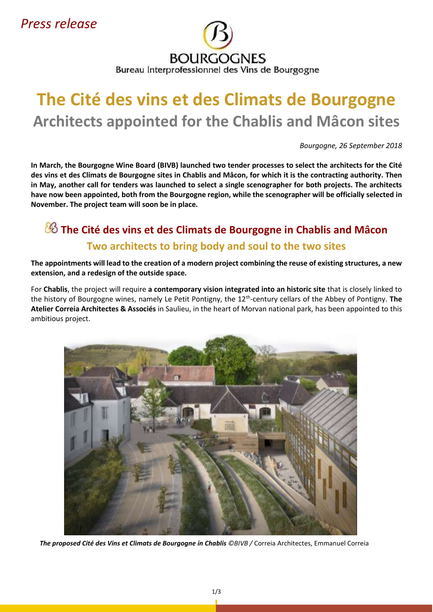*Press release*

# **BOURGOGNES** Bureau Interprofessionnel des Vins de Bourgogne

# **The Cité des vins et des Climats de Bourgogne Architects appointed for the Chablis and Mâcon sites**

*Bourgogne, 26 September 2018*

**In March, the Bourgogne Wine Board (BIVB) launched two tender processes to select the architects for the Cité des vins et des Climats de Bourgogne sites in Chablis and Mâcon, for which it is the contracting authority. Then in May, another call for tenders was launched to select a single scenographer for both projects. The architects have now been appointed, both from the Bourgogne region, while the scenographer will be officially selected in November. The project team will soon be in place.**

# **The Cité des vins et des Climats de Bourgogne in Chablis and Mâcon Two architects to bring body and soul to the two sites**

**The appointments will lead to the creation of a modern project combining the reuse of existing structures, a new extension, and a redesign of the outside space.** 

For **Chablis**, the project will require **a contemporary vision integrated into an historic site** that is closely linked to the history of Bourgogne wines, namely Le Petit Pontigny, the 12th -century cellars of the Abbey of Pontigny. **The Atelier Correia Architectes & Associés** in Saulieu, in the heart of Morvan national park, has been appointed to this ambitious project.



*The proposed Cité des Vins et Climats de Bourgogne in Chablis ©BIVB /* Correia Architectes, Emmanuel Correia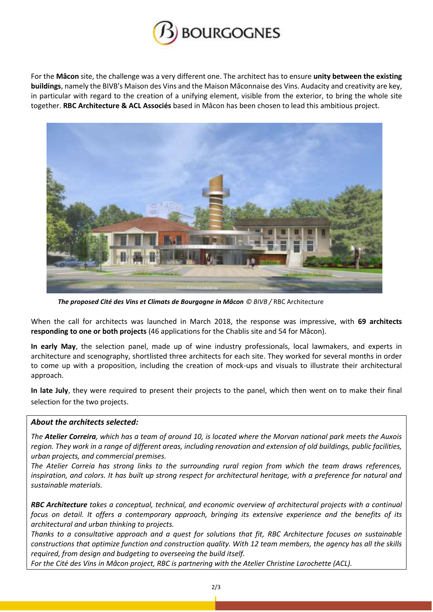

For the **Mâcon** site, the challenge was a very different one. The architect has to ensure **unity between the existing buildings**, namely the BIVB's Maison des Vins and the Maison Mâconnaise des Vins. Audacity and creativity are key, in particular with regard to the creation of a unifying element, visible from the exterior, to bring the whole site together. **RBC Architecture & ACL Associés** based in Mâcon has been chosen to lead this ambitious project.



*The proposed Cité des Vins et Climats de Bourgogne in Mâcon © BIVB /* RBC Architecture

When the call for architects was launched in March 2018, the response was impressive, with **69 architects responding to one or both projects** (46 applications for the Chablis site and 54 for Mâcon).

**In early May**, the selection panel, made up of wine industry professionals, local lawmakers, and experts in architecture and scenography, shortlisted three architects for each site. They worked for several months in order to come up with a proposition, including the creation of mock-ups and visuals to illustrate their architectural approach.

**In late July**, they were required to present their projects to the panel, which then went on to make their final selection for the two projects.

#### *About the architects selected:*

*The Atelier Correira, which has a team of around 10, is located where the Morvan national park meets the Auxois region. They work in a range of different areas, including renovation and extension of old buildings, public facilities, urban projects, and commercial premises.*

*The Atelier Correia has strong links to the surrounding rural region from which the team draws references, inspiration, and colors. It has built up strong respect for architectural heritage, with a preference for natural and sustainable materials.* 

*RBC Architecture takes a conceptual, technical, and economic overview of architectural projects with a continual focus on detail. It offers a contemporary approach, bringing its extensive experience and the benefits of its architectural and urban thinking to projects.* 

*Thanks to a consultative approach and a quest for solutions that fit, RBC Architecture focuses on sustainable constructions that optimize function and construction quality. With 12 team members, the agency has all the skills required, from design and budgeting to overseeing the build itself.*

*For the Cité des Vins in Mâcon project, RBC is partnering with the Atelier Christine Larochette (ACL).*